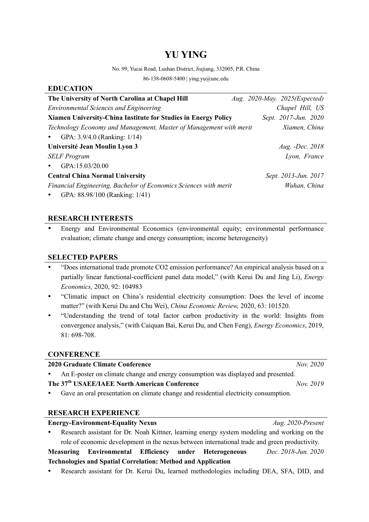# **YU YING**

No. 99, Yucai Road, Lushan District, Jiujiang, 332005, P.R. China

86-138-0608-5400 | ying.yu@unc.edu

### **EDUCATION**

| The University of North Carolina at Chapel Hill                    | Aug. 2020-May. 2025(Expected) |
|--------------------------------------------------------------------|-------------------------------|
| <b>Environmental Sciences and Engineering</b>                      | Chapel Hill, US               |
| Xiamen University-China Institute for Studies in Energy Policy     | Sept. 2017-Jun. 2020          |
| Technology Economy and Management, Master of Management with merit | Xiamen, China                 |
| GPA: 3.9/4.0 (Ranking: 1/14)<br>$\bullet$                          |                               |
| Université Jean Moulin Lyon 3                                      | Aug. -Dec. 2018               |
| <b>SELF</b> Program                                                | Lyon, France                  |
| GPA:15.03/20.00<br>$\bullet$                                       |                               |
| <b>Central China Normal University</b>                             | Sept. 2013-Jun. 2017          |
| Financial Engineering, Bachelor of Economics Sciences with merit   | Wuhan, China                  |
| GPA: 88.98/100 (Ranking: 1/41)<br>$\bullet$                        |                               |

### **RESEARCH INTERESTS**

 Energy and Environmental Economics (environmental equity; environmental performance evaluation; climate change and energy consumption; income heterogeneity)

### **SELECTED PAPERS**

- "Does international trade promote CO2 emission performance? An empirical analysis based on a partially linear functional-coefficient panel data model," (with Kerui Du and Jing Li), *Energy Economics,* 2020, 92: 104983
- "Climatic impact on China's residential electricity consumption: Does the level of income matter?" (with Kerui Du and Chu Wei), *China Economic Review,* 2020, 63: 101520.
- "Understanding the trend of total factor carbon productivity in the world: Insights from convergence analysis," (with Caiquan Bai, Kerui Du, and Chen Feng), *Energy Economics*, 2019, 81: 698-708.

### **CONFERENCE**

### **2020 Graduate Climate Conference** *Nov. 2020*

An E-poster on climate change and energy consumption was displayed and presented.

## **The 37th USAEE/IAEE North American Conference** *Nov. 2019*

Gave an oral presentation on climate change and residential electricity consumption.

### **RESEARCH EXPERIENCE**

- **Energy-Environment-Equality Nexus** *Aug. 2020-Present* Research assistant for Dr. Noah Kittner, learning energy system modeling and working on the role of economic development in the nexus between international trade and green productivity. **Measuring Environmental Efficiency under Heterogeneous Technologies and Spatial Correlation: Method and Application** *Dec. 2018-Jun. 2020*
- Research assistant for Dr. Kerui Du, learned methodologies including DEA, SFA, DID, and